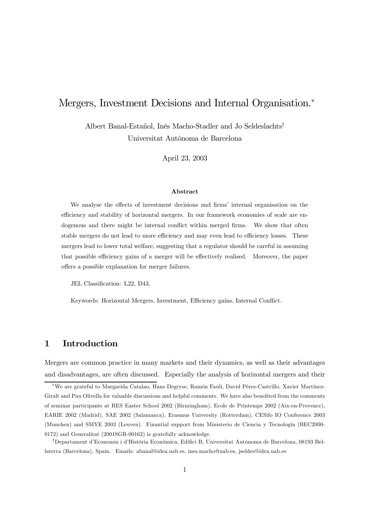# Mergers, Investment Decisions and Internal Organisation.<sup>∗</sup>

Albert Banal-Estañol, Inés Macho-Stadler and Jo Seldeslachts† Universitat Autònoma de Barcelona

April 23, 2003

#### Abstract

We analyse the effects of investment decisions and firms' internal organisation on the efficiency and stability of horizontal mergers. In our framework economies of scale are endogenous and there might be internal conflict within merged firms. We show that often stable mergers do not lead to more efficiency and may even lead to efficiency losses. These mergers lead to lower total welfare, suggesting that a regulator should be careful in assuming that possible efficiency gains of a merger will be effectively realised. Moreover, the paper offers a possible explanation for merger failures.

JEL Classification: L22, D43.

Keywords: Horizontal Mergers, Investment, Efficiency gains, Internal Conflict.

## 1 Introduction

Mergers are common practice in many markets and their dynamics, as well as their advantages and disadvantages, are often discussed. Especially the analysis of horizontal mergers and their

<sup>∗</sup>We are grateful to Margarida Catalao, Hans Degryse, Ramón Faulí, David Pérez-Castrillo, Xavier Martínez-Giralt and Pau Olivella for valuable discussions and helpful comments. We have also benefited from the comments of seminar participants at RES Easter School 2002 (Birmingham), Ecole de Printemps 2002 (Aix-en-Provence), EARIE 2002 (Madrid), SAE 2002 (Salamanca), Erasmus University (Rotterdam), CESifo IO Conference 2003 (Munchen) and SMYE 2003 (Leuven). Finantial support from Ministerio de Ciencia y Tecnología (BEC2000- 0172) and Generalitat (2001SGR-00162) is gratefully acknowledge.

<sup>†</sup>Departament d'Economia i d'Història Econòmica, Edifici B, Universitat Autònoma de Barcelona, 08193 Bellaterra (Barcelona), Spain. Emails: abanal@idea.uab.es, ines.macho@uab.es, jseldes@idea.uab.es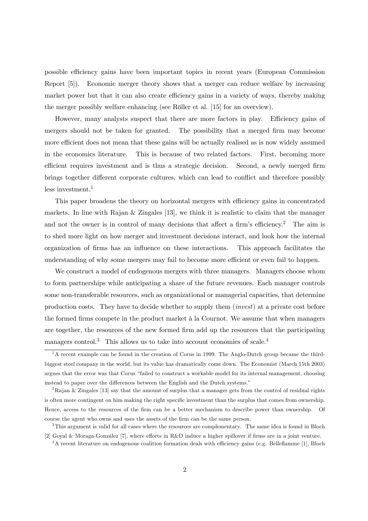possible efficiency gains have been important topics in recent years (European Commission Report [5]). Economic merger theory shows that a merger can reduce welfare by increasing market power but that it can also create efficiency gains in a variety of ways, thereby making the merger possibly welfare enhancing (see Röller et al. [15] for an overview).

However, many analysts suspect that there are more factors in play. Efficiency gains of mergers should not be taken for granted. The possibility that a merged firm may become more efficient does not mean that these gains will be actually realised as is now widely assumed in the economics literature. This is because of two related factors. First, becoming more efficient requires investment and is thus a strategic decision. Second, a newly merged firm brings together different corporate cultures, which can lead to conflict and therefore possibly less investment. $1$ 

This paper broadens the theory on horizontal mergers with efficiency gains in concentrated markets. In line with Rajan & Zingales [13], we think it is realistic to claim that the manager and not the owner is in control of many decisions that affect a firm's efficiency.<sup>2</sup> The aim is to shed more light on how merger and investment decisions interact, and look how the internal organization of firms has an influence on these interactions. This approach facilitates the understanding of why some mergers may fail to become more efficient or even fail to happen.

We construct a model of endogenous mergers with three managers. Managers choose whom to form partnerships while anticipating a share of the future revenues. Each manager controls some non-transferable resources, such as organizational or managerial capacities, that determine production costs. They have to decide whether to supply them (invest) at a private cost before the formed firms compete in the product market à la Cournot. We assume that when managers are together, the resources of the new formed firm add up the resources that the participating managers control.<sup>3</sup> This allows us to take into account economies of scale.<sup>4</sup>

 $1<sup>1</sup>A$  recent example can be found in the creation of Corus in 1999. The Anglo-Dutch group became the thirdbiggest steel company in the world, but its value has dramatically come down. The Economist (March 15th 2003) argues that the error was that Corus "failed to construct a workable model for its internal management, choosing instead to paper over the differences between the English and the Dutch systems."

<sup>&</sup>lt;sup>2</sup>Rajan & Zingales [13] say that the amount of surplus that a manager gets from the control of residual rights is often more contingent on him making the right specific investment than the surplus that comes from ownership. Hence, access to the resources of the firm can be a better mechanism to describe power than ownership. Of course the agent who owns and uses the assets of the firm can be the same person.

<sup>&</sup>lt;sup>3</sup>This argument is valid for all cases where the resources are complementary. The same idea is found in Bloch [2] Goyal & Moraga-González [7], where efforts in R&D induce a higher spillover if firms are in a joint venture.

<sup>&</sup>lt;sup>4</sup>A recent literature on endogenous coalition formation deals with efficiency gains (e.g. Belleflamme [1], Bloch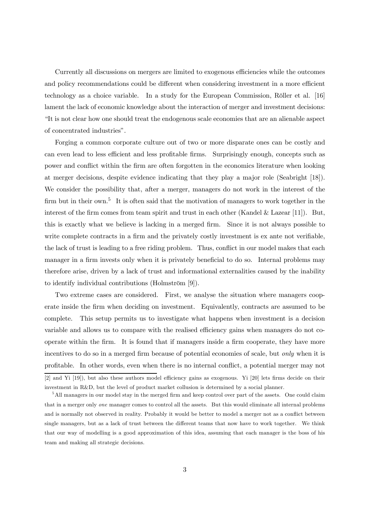Currently all discussions on mergers are limited to exogenous efficiencies while the outcomes and policy recommendations could be different when considering investment in a more efficient technology as a choice variable. In a study for the European Commission, Röller et al. [16] lament the lack of economic knowledge about the interaction of merger and investment decisions: "It is not clear how one should treat the endogenous scale economies that are an alienable aspect of concentrated industries".

Forging a common corporate culture out of two or more disparate ones can be costly and can even lead to less efficient and less profitable firms. Surprisingly enough, concepts such as power and conflict within the firm are often forgotten in the economics literature when looking at merger decisions, despite evidence indicating that they play a major role (Seabright [18]). We consider the possibility that, after a merger, managers do not work in the interest of the firm but in their own.<sup>5</sup> It is often said that the motivation of managers to work together in the interest of the firm comes from team spirit and trust in each other (Kandel & Lazear [11]). But, this is exactly what we believe is lacking in a merged firm. Since it is not always possible to write complete contracts in a firm and the privately costly investment is ex ante not verifiable, the lack of trust is leading to a free riding problem. Thus, conflict in our model makes that each manager in a firm invests only when it is privately beneficial to do so. Internal problems may therefore arise, driven by a lack of trust and informational externalities caused by the inability to identify individual contributions (Holmström [9]).

Two extreme cases are considered. First, we analyse the situation where managers cooperate inside the firm when deciding on investment. Equivalently, contracts are assumed to be complete. This setup permits us to investigate what happens when investment is a decision variable and allows us to compare with the realised efficiency gains when managers do not cooperate within the firm. It is found that if managers inside a firm cooperate, they have more incentives to do so in a merged firm because of potential economies of scale, but only when it is profitable. In other words, even when there is no internal conflict, a potential merger may not

<sup>[2]</sup> and Yi [19]), but also these authors model efficiency gains as exogenous. Yi [20] lets firms decide on their investment in R&D, but the level of product market collusion is determined by a social planner.

<sup>&</sup>lt;sup>5</sup>All managers in our model stay in the merged firm and keep control over part of the assets. One could claim that in a merger only one manager comes to control all the assets. But this would eliminate all internal problems and is normally not observed in reality. Probably it would be better to model a merger not as a conflict between single managers, but as a lack of trust between the different teams that now have to work together. We think that our way of modelling is a good approximation of this idea, assuming that each manager is the boss of his team and making all strategic decisions.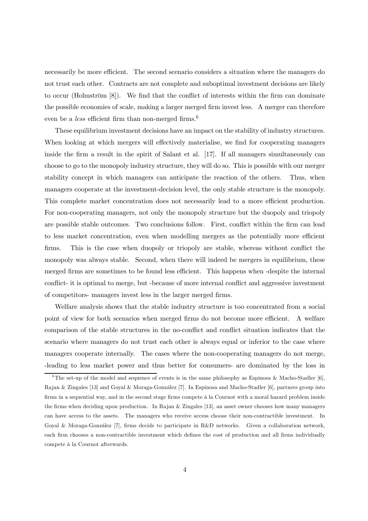necessarily be more efficient. The second scenario considers a situation where the managers do not trust each other. Contracts are not complete and suboptimal investment decisions are likely to occur (Holmström [8]). We find that the conflict of interests within the firm can dominate the possible economies of scale, making a larger merged firm invest less. A merger can therefore even be a *less* efficient firm than non-merged firms.<sup>6</sup>

These equilibrium investment decisions have an impact on the stability of industry structures. When looking at which mergers will effectively materialise, we find for cooperating managers inside the firm a result in the spirit of Salant et al. [17]. If all managers simultaneously can choose to go to the monopoly industry structure, they will do so. This is possible with our merger stability concept in which managers can anticipate the reaction of the others. Thus, when managers cooperate at the investment-decision level, the only stable structure is the monopoly. This complete market concentration does not necessarily lead to a more efficient production. For non-cooperating managers, not only the monopoly structure but the duopoly and triopoly are possible stable outcomes. Two conclusions follow. First, conflict within the firm can lead to less market concentration, even when modelling mergers as the potentially more efficient firms. This is the case when duopoly or triopoly are stable, whereas without conflict the monopoly was always stable. Second, when there will indeed be mergers in equilibrium, these merged firms are sometimes to be found less efficient. This happens when -despite the internal conflict- it is optimal to merge, but -because of more internal conflict and aggressive investment of competitors- managers invest less in the larger merged firms.

Welfare analysis shows that the stable industry structure is too concentrated from a social point of view for both scenarios when merged firms do not become more efficient. A welfare comparison of the stable structures in the no-conflict and conflict situation indicates that the scenario where managers do not trust each other is always equal or inferior to the case where managers cooperate internally. The cases where the non-cooperating managers do not merge, -leading to less market power and thus better for consumers- are dominated by the loss in

<sup>&</sup>lt;sup>6</sup>The set-up of the model and sequence of events is in the same philosophy as Espinosa & Macho-Stadler [6], Rajan & Zingales [13] and Goyal & Moraga-González [7]. In Espinosa and Macho-Stadler [6], partners group into firms in a sequential way, and in the second stage firms compete à la Cournot with a moral hazard problem inside the firms when deciding upon production. In Rajan & Zingales [13], an asset owner chooses how many managers can have access to the assets. The managers who receive access choose their non-contractible investment. In Goyal & Moraga-González [7], firms decide to participate in R&D networks. Given a collaboration network, each firm chooses a non-contractible investment which defines the cost of production and all firms individually compete à la Cournot afterwards.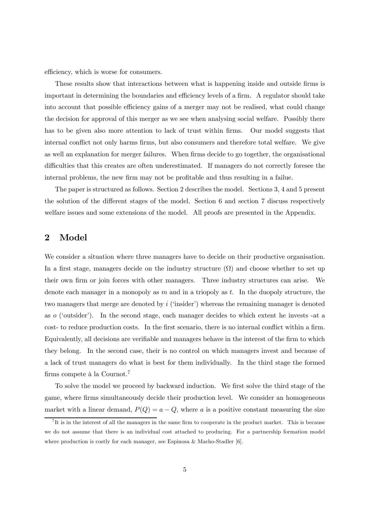efficiency, which is worse for consumers.

These results show that interactions between what is happening inside and outside firms is important in determining the boundaries and efficiency levels of a firm. A regulator should take into account that possible efficiency gains of a merger may not be realised, what could change the decision for approval of this merger as we see when analysing social welfare. Possibly there has to be given also more attention to lack of trust within firms. Our model suggests that internal conflict not only harms firms, but also consumers and therefore total welfare. We give as well an explanation for merger failures. When firms decide to go together, the organisational difficulties that this creates are often underestimated. If managers do not correctly foresee the internal problems, the new firm may not be profitable and thus resulting in a failue.

The paper is structured as follows. Section 2 describes the model. Sections 3, 4 and 5 present the solution of the different stages of the model. Section 6 and section 7 discuss respectively welfare issues and some extensions of the model. All proofs are presented in the Appendix.

## 2 Model

We consider a situation where three managers have to decide on their productive organisation. In a first stage, managers decide on the industry structure  $(\Omega)$  and choose whether to set up their own firm or join forces with other managers. Three industry structures can arise. We denote each manager in a monopoly as  $m$  and in a triopoly as  $t$ . In the duopoly structure, the two managers that merge are denoted by i ('insider') whereas the remaining manager is denoted as o ('outsider'). In the second stage, each manager decides to which extent he invests -at a cost- to reduce production costs. In the first scenario, there is no internal conflict within a firm. Equivalently, all decisions are verifiable and managers behave in the interest of the firm to which they belong. In the second case, their is no control on which managers invest and because of a lack of trust managers do what is best for them individually. In the third stage the formed firms compete à la Cournot.7

To solve the model we proceed by backward induction. We first solve the third stage of the game, where firms simultaneously decide their production level. We consider an homogeneous market with a linear demand,  $P(Q) = a - Q$ , where a is a positive constant measuring the size

<sup>&</sup>lt;sup>7</sup>It is in the interest of all the managers in the same firm to cooperate in the product market. This is because we do not assume that there is an individual cost attached to producing. For a partnership formation model where production is costly for each manager, see Espinosa & Macho-Stadler [6].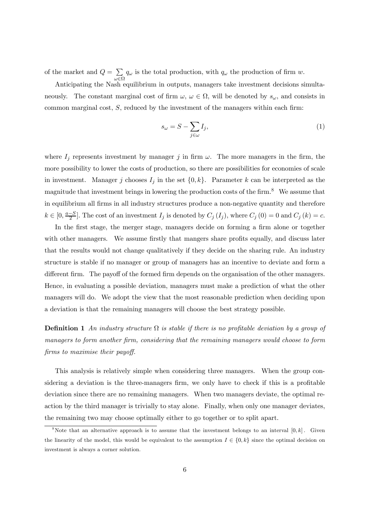of the market and  $Q = \sum$ ω∈Ω  $q_{\omega}$  is the total production, with  $q_{\omega}$  the production of firm w.

Anticipating the Nash equilibrium in outputs, managers take investment decisions simultaneously. The constant marginal cost of firm  $\omega, \omega \in \Omega$ , will be denoted by  $s_{\omega}$ , and consists in common marginal cost,  $S$ , reduced by the investment of the managers within each firm:

$$
s_{\omega} = S - \sum_{j \in \omega} I_j,\tag{1}
$$

where  $I_j$  represents investment by manager j in firm  $\omega$ . The more managers in the firm, the more possibility to lower the costs of production, so there are possibilities for economies of scale in investment. Manager j chooses  $I_j$  in the set  $\{0, k\}$ . Parameter k can be interpreted as the magnitude that investment brings in lowering the production costs of the firm.<sup>8</sup> We assume that in equilibrium all firms in all industry structures produce a non-negative quantity and therefore  $k \in [0, \frac{a-S}{2}]$ . The cost of an investment  $I_j$  is denoted by  $C_j(I_j)$ , where  $C_j(0) = 0$  and  $C_j(k) = c$ .

In the first stage, the merger stage, managers decide on forming a firm alone or together with other managers. We assume firstly that mangers share profits equally, and discuss later that the results would not change qualitatively if they decide on the sharing rule. An industry structure is stable if no manager or group of managers has an incentive to deviate and form a different firm. The payoff of the formed firm depends on the organisation of the other managers. Hence, in evaluating a possible deviation, managers must make a prediction of what the other managers will do. We adopt the view that the most reasonable prediction when deciding upon a deviation is that the remaining managers will choose the best strategy possible.

**Definition 1** An industry structure  $\Omega$  is stable if there is no profitable deviation by a group of managers to form another firm, considering that the remaining managers would choose to form firms to maximise their payoff.

This analysis is relatively simple when considering three managers. When the group considering a deviation is the three-managers firm, we only have to check if this is a profitable deviation since there are no remaining managers. When two managers deviate, the optimal reaction by the third manager is trivially to stay alone. Finally, when only one manager deviates, the remaining two may choose optimally either to go together or to split apart.

<sup>&</sup>lt;sup>8</sup>Note that an alternative approach is to assume that the investment belongs to an interval  $[0, k]$ . Given the linearity of the model, this would be equivalent to the assumption  $I \in \{0, k\}$  since the optimal decision on investment is always a corner solution.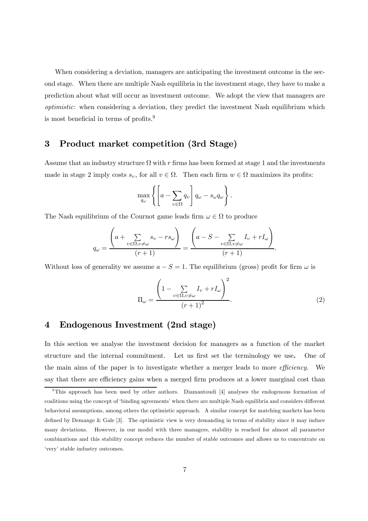When considering a deviation, managers are anticipating the investment outcome in the second stage. When there are multiple Nash equilibria in the investment stage, they have to make a prediction about what will occur as investment outcome. We adopt the view that managers are optimistic: when considering a deviation, they predict the investment Nash equilibrium which is most beneficial in terms of profits.9

## 3 Product market competition (3rd Stage)

Assume that an industry structure  $\Omega$  with r firms has been formed at stage 1 and the investments made in stage 2 imply costs  $s_v$ , for all  $v \in \Omega$ . Then each firm  $w \in \Omega$  maximizes its profits:

$$
\max_{q_{\omega}} \left\{ \left[ a - \sum_{v \in \Omega} q_v \right] q_{\omega} - s_{\omega} q_{\omega} \right\}.
$$

The Nash equilibrium of the Cournot game leads firm  $\omega \in \Omega$  to produce

$$
q_{\omega} = \frac{\left(a + \sum_{v \in \Omega, v \neq \omega} s_v - rs_{\omega}\right)}{(r+1)} = \frac{\left(a - S - \sum_{v \in \Omega, v \neq \omega} I_v + rI_{\omega}\right)}{(r+1)}.
$$

Without loss of generality we assume  $a - S = 1$ . The equilibrium (gross) profit for firm  $\omega$  is

$$
\Pi_{\omega} = \frac{\left(1 - \sum_{v \in \Omega, v \neq \omega} I_v + rI_{\omega}\right)^2}{\left(r + 1\right)^2}.
$$
\n(2)

## 4 Endogenous Investment (2nd stage)

In this section we analyse the investment decision for managers as a function of the market structure and the internal commitment. Let us first set the terminology we use. One of the main aims of the paper is to investigate whether a merger leads to more *efficiency*. We say that there are efficiency gains when a merged firm produces at a lower marginal cost than

 $9$ This approach has been used by other authors. Diamantoudi [4] analyses the endogenous formation of coalitions using the concept of 'binding agreements' when there are multiple Nash equilibria and considers different behavioral assumptions, among others the optimistic approach. A similar concept for matching markets has been defined by Demange & Gale [3]. The optimistic view is very demanding in terms of stability since it may induce many deviations. However, in our model with three managers, stability is reached for almost all parameter combinations and this stability concept reduces the number of stable outcomes and allows us to concentrate on 'very' stable industry outcomes.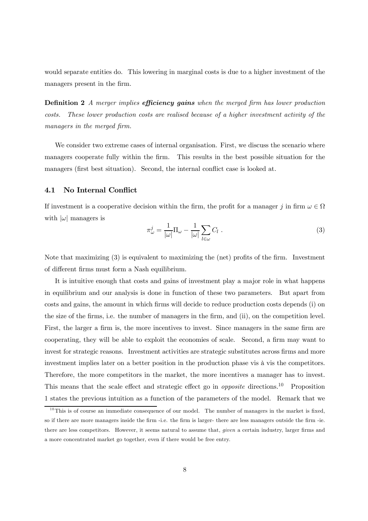would separate entities do. This lowering in marginal costs is due to a higher investment of the managers present in the firm.

**Definition 2** A merger implies **efficiency gains** when the merged firm has lower production costs. These lower production costs are realised because of a higher investment activity of the managers in the merged firm.

We consider two extreme cases of internal organisation. First, we discuss the scenario where managers cooperate fully within the firm. This results in the best possible situation for the managers (first best situation). Second, the internal conflict case is looked at.

## 4.1 No Internal Conflict

If investment is a cooperative decision within the firm, the profit for a manager j in firm  $\omega \in \Omega$ with  $|\omega|$  managers is

$$
\pi_{\omega}^{j} = \frac{1}{|\omega|} \Pi_{\omega} - \frac{1}{|\omega|} \sum_{l \in \omega} C_{l} . \qquad (3)
$$

Note that maximizing (3) is equivalent to maximizing the (net) profits of the firm. Investment of different firms must form a Nash equilibrium.

It is intuitive enough that costs and gains of investment play a major role in what happens in equilibrium and our analysis is done in function of these two parameters. But apart from costs and gains, the amount in which firms will decide to reduce production costs depends (i) on the size of the firms, i.e. the number of managers in the firm, and (ii), on the competition level. First, the larger a firm is, the more incentives to invest. Since managers in the same firm are cooperating, they will be able to exploit the economies of scale. Second, a firm may want to invest for strategic reasons. Investment activities are strategic substitutes across firms and more investment implies later on a better position in the production phase vis à vis the competitors. Therefore, the more competitors in the market, the more incentives a manager has to invest. This means that the scale effect and strategic effect go in *opposite* directions.<sup>10</sup> Proposition 1 states the previous intuition as a function of the parameters of the model. Remark that we

 $10$ This is of course an immediate consequence of our model. The number of managers in the market is fixed, so if there are more managers inside the firm -i.e. the firm is larger- there are less managers outside the firm -ie. there are less competitors. However, it seems natural to assume that, given a certain industry, larger firms and a more concentrated market go together, even if there would be free entry.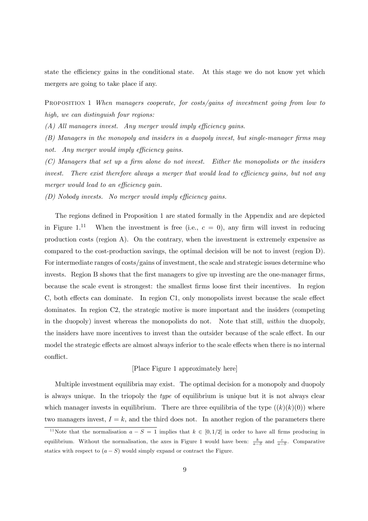state the efficiency gains in the conditional state. At this stage we do not know yet which mergers are going to take place if any.

PROPOSITION 1 When managers cooperate, for costs/gains of investment going from low to high, we can distinguish four regions:

(A) All managers invest. Any merger would imply efficiency gains.

(B) Managers in the monopoly and insiders in a duopoly invest, but single-manager firms may not. Any merger would imply efficiency gains.

(C) Managers that set up a firm alone do not invest. Either the monopolists or the insiders invest. There exist therefore always a merger that would lead to efficiency gains, but not any merger would lead to an efficiency gain.

(D) Nobody invests. No merger would imply efficiency gains.

The regions defined in Proposition 1 are stated formally in the Appendix and are depicted in Figure 1.<sup>11</sup> When the investment is free (i.e.,  $c = 0$ ), any firm will invest in reducing production costs (region A). On the contrary, when the investment is extremely expensive as compared to the cost-production savings, the optimal decision will be not to invest (region D). For intermediate ranges of costs/gains of investment, the scale and strategic issues determine who invests. Region B shows that the first managers to give up investing are the one-manager firms, because the scale event is strongest: the smallest firms loose first their incentives. In region C, both effects can dominate. In region C1, only monopolists invest because the scale effect dominates. In region C2, the strategic motive is more important and the insiders (competing in the duopoly) invest whereas the monopolists do not. Note that still, within the duopoly, the insiders have more incentives to invest than the outsider because of the scale effect. In our model the strategic effects are almost always inferior to the scale effects when there is no internal conflict.

### [Place Figure 1 approximately here]

Multiple investment equilibria may exist. The optimal decision for a monopoly and duopoly is always unique. In the triopoly the type of equilibrium is unique but it is not always clear which manager invests in equilibrium. There are three equilibria of the type  $((k)(k)(0))$  where two managers invest,  $I = k$ , and the third does not. In another region of the parameters there

<sup>&</sup>lt;sup>11</sup>Note that the normalisation  $a - S = 1$  implies that  $k \in [0, 1/2]$  in order to have all firms producing in equilibrium. Without the normalisation, the axes in Figure 1 would have been:  $\frac{k}{a-S}$  and  $\frac{c}{a-S}$ . Comparative statics with respect to  $(a - S)$  would simply expand or contract the Figure.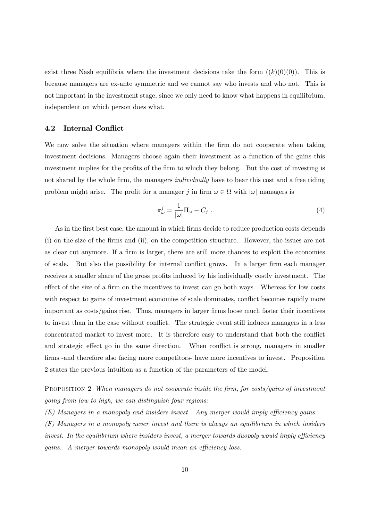exist three Nash equilibria where the investment decisions take the form  $((k)(0)(0))$ . This is because managers are ex-ante symmetric and we cannot say who invests and who not. This is not important in the investment stage, since we only need to know what happens in equilibrium, independent on which person does what.

### 4.2 Internal Conflict

We now solve the situation where managers within the firm do not cooperate when taking investment decisions. Managers choose again their investment as a function of the gains this investment implies for the profits of the firm to which they belong. But the cost of investing is not shared by the whole firm, the managers *individually* have to bear this cost and a free riding problem might arise. The profit for a manager j in firm  $\omega \in \Omega$  with  $|\omega|$  managers is

$$
\pi_{\omega}^{j} = \frac{1}{|\omega|} \Pi_{\omega} - C_{j} \tag{4}
$$

As in the first best case, the amount in which firms decide to reduce production costs depends (i) on the size of the firms and (ii), on the competition structure. However, the issues are not as clear cut anymore. If a firm is larger, there are still more chances to exploit the economies of scale. But also the possibility for internal conflict grows. In a larger firm each manager receives a smaller share of the gross profits induced by his individually costly investment. The effect of the size of a firm on the incentives to invest can go both ways. Whereas for low costs with respect to gains of investment economies of scale dominates, conflict becomes rapidly more important as costs/gains rise. Thus, managers in larger firms loose much faster their incentives to invest than in the case without conflict. The strategic event still induces managers in a less concentrated market to invest more. It is therefore easy to understand that both the conflict and strategic effect go in the same direction. When conflict is strong, managers in smaller firms -and therefore also facing more competitors- have more incentives to invest. Proposition 2 states the previous intuition as a function of the parameters of the model.

PROPOSITION 2 When managers do not cooperate inside the firm, for costs/gains of investment going from low to high, we can distinguish four regions:

(E) Managers in a monopoly and insiders invest. Any merger would imply efficiency gains.

(F) Managers in a monopoly never invest and there is always an equilibrium in which insiders invest. In the equilibrium where insiders invest, a merger towards duopoly would imply efficiency gains. A merger towards monopoly would mean an efficiency loss.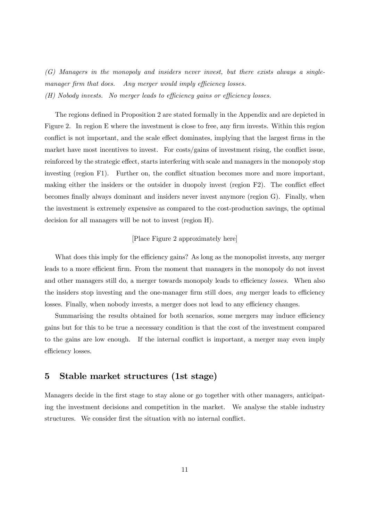(G) Managers in the monopoly and insiders never invest, but there exists always a singlemanager firm that does. Any merger would imply efficiency losses. (H) Nobody invests. No merger leads to efficiency gains or efficiency losses.

The regions defined in Proposition 2 are stated formally in the Appendix and are depicted in Figure 2. In region E where the investment is close to free, any firm invests. Within this region conflict is not important, and the scale effect dominates, implying that the largest firms in the market have most incentives to invest. For costs/gains of investment rising, the conflict issue, reinforced by the strategic effect, starts interfering with scale and managers in the monopoly stop investing (region F1). Further on, the conflict situation becomes more and more important, making either the insiders or the outsider in duopoly invest (region F2). The conflict effect becomes finally always dominant and insiders never invest anymore (region G). Finally, when the investment is extremely expensive as compared to the cost-production savings, the optimal decision for all managers will be not to invest (region H).

### [Place Figure 2 approximately here]

What does this imply for the efficiency gains? As long as the monopolist invests, any merger leads to a more efficient firm. From the moment that managers in the monopoly do not invest and other managers still do, a merger towards monopoly leads to efficiency *losses*. When also the insiders stop investing and the one-manager firm still does, *any* merger leads to efficiency losses. Finally, when nobody invests, a merger does not lead to any efficiency changes.

Summarising the results obtained for both scenarios, some mergers may induce efficiency gains but for this to be true a necessary condition is that the cost of the investment compared to the gains are low enough. If the internal conflict is important, a merger may even imply efficiency losses.

## 5 Stable market structures (1st stage)

Managers decide in the first stage to stay alone or go together with other managers, anticipating the investment decisions and competition in the market. We analyse the stable industry structures. We consider first the situation with no internal conflict.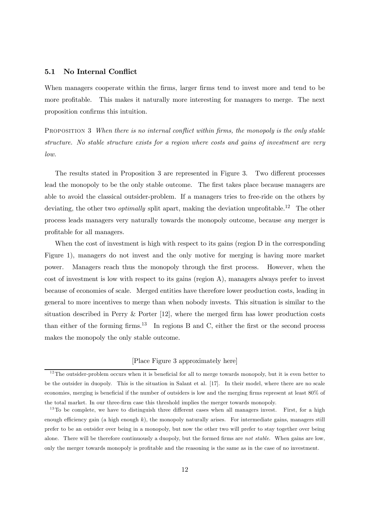### 5.1 No Internal Conflict

When managers cooperate within the firms, larger firms tend to invest more and tend to be more profitable. This makes it naturally more interesting for managers to merge. The next proposition confirms this intuition.

PROPOSITION 3 When there is no internal conflict within firms, the monopoly is the only stable structure. No stable structure exists for a region where costs and gains of investment are very low.

The results stated in Proposition 3 are represented in Figure 3. Two different processes lead the monopoly to be the only stable outcome. The first takes place because managers are able to avoid the classical outsider-problem. If a managers tries to free-ride on the others by deviating, the other two *optimally* split apart, making the deviation unprofitable.<sup>12</sup> The other process leads managers very naturally towards the monopoly outcome, because any merger is profitable for all managers.

When the cost of investment is high with respect to its gains (region D in the corresponding Figure 1), managers do not invest and the only motive for merging is having more market power. Managers reach thus the monopoly through the first process. However, when the cost of investment is low with respect to its gains (region A), managers always prefer to invest because of economies of scale. Merged entities have therefore lower production costs, leading in general to more incentives to merge than when nobody invests. This situation is similar to the situation described in Perry & Porter [12], where the merged firm has lower production costs than either of the forming firms.<sup>13</sup> In regions B and C, either the first or the second process makes the monopoly the only stable outcome.

### [Place Figure 3 approximately here]

 $12$ The outsider-problem occurs when it is beneficial for all to merge towards monopoly, but it is even better to be the outsider in duopoly. This is the situation in Salant et al. [17]. In their model, where there are no scale economies, merging is beneficial if the number of outsiders is low and the merging firms represent at least 80% of the total market. In our three-firm case this threshold implies the merger towards monopoly.

 $13\text{ To be complete, we have to distinguish three different cases when all managers invest. First, for a high$ enough efficiency gain (a high enough  $k$ ), the monopoly naturally arises. For intermediate gains, managers still prefer to be an outsider over being in a monopoly, but now the other two will prefer to stay together over being alone. There will be therefore continuously a duopoly, but the formed firms are not stable. When gains are low, only the merger towards monopoly is profitable and the reasoning is the same as in the case of no investment.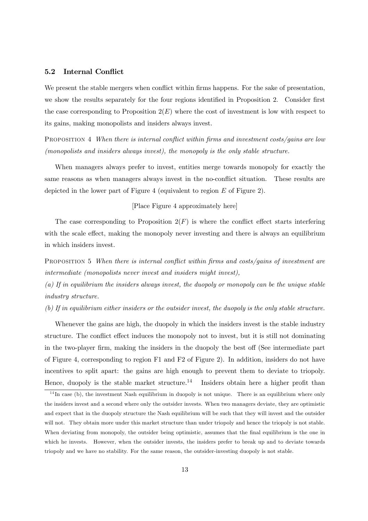## 5.2 Internal Conflict

We present the stable mergers when conflict within firms happens. For the sake of presentation, we show the results separately for the four regions identified in Proposition 2. Consider first the case corresponding to Proposition  $2(E)$  where the cost of investment is low with respect to its gains, making monopolists and insiders always invest.

PROPOSITION 4 When there is internal conflict within firms and investment costs/gains are low (monopolists and insiders always invest), the monopoly is the only stable structure.

When managers always prefer to invest, entities merge towards monopoly for exactly the same reasons as when managers always invest in the no-conflict situation. These results are depicted in the lower part of Figure 4 (equivalent to region E of Figure 2).

#### [Place Figure 4 approximately here]

The case corresponding to Proposition  $2(F)$  is where the conflict effect starts interfering with the scale effect, making the monopoly never investing and there is always an equilibrium in which insiders invest.

PROPOSITION 5 When there is internal conflict within firms and costs/gains of investment are intermediate (monopolists never invest and insiders might invest),

(a) If in equilibrium the insiders always invest, the duopoly or monopoly can be the unique stable industry structure.

(b) If in equilibrium either insiders or the outsider invest, the duopoly is the only stable structure.

Whenever the gains are high, the duopoly in which the insiders invest is the stable industry structure. The conflict effect induces the monopoly not to invest, but it is still not dominating in the two-player firm, making the insiders in the duopoly the best off (See intermediate part of Figure 4, corresponding to region F1 and F2 of Figure 2). In addition, insiders do not have incentives to split apart: the gains are high enough to prevent them to deviate to triopoly. Hence, duopoly is the stable market structure.<sup>14</sup> Insiders obtain here a higher profit than

 $14$  In case (b), the investment Nash equilibrium in duopoly is not unique. There is an equilibrium where only the insiders invest and a second where only the outsider invests. When two managers deviate, they are optimistic and expect that in the duopoly structure the Nash equilibrium will be such that they will invest and the outsider will not. They obtain more under this market structure than under triopoly and hence the triopoly is not stable. When deviating from monopoly, the outsider being optimistic, assumes that the final equilibrium is the one in which he invests. However, when the outsider invests, the insiders prefer to break up and to deviate towards triopoly and we have no stability. For the same reason, the outsider-investing duopoly is not stable.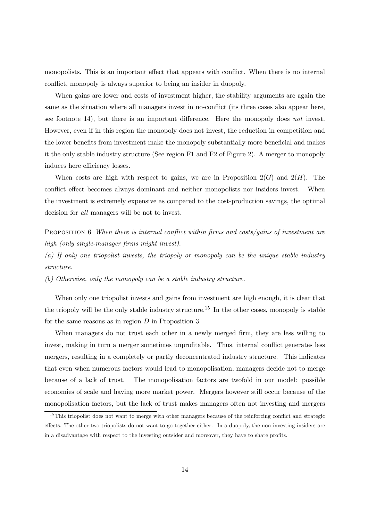monopolists. This is an important effect that appears with conflict. When there is no internal conflict, monopoly is always superior to being an insider in duopoly.

When gains are lower and costs of investment higher, the stability arguments are again the same as the situation where all managers invest in no-conflict (its three cases also appear here, see footnote 14), but there is an important difference. Here the monopoly does not invest. However, even if in this region the monopoly does not invest, the reduction in competition and the lower benefits from investment make the monopoly substantially more beneficial and makes it the only stable industry structure (See region F1 and F2 of Figure 2). A merger to monopoly induces here efficiency losses.

When costs are high with respect to gains, we are in Proposition  $2(G)$  and  $2(H)$ . The conflict effect becomes always dominant and neither monopolists nor insiders invest. When the investment is extremely expensive as compared to the cost-production savings, the optimal decision for all managers will be not to invest.

PROPOSITION 6 When there is internal conflict within firms and costs/gains of investment are high (only single-manager firms might invest).

(a) If only one triopolist invests, the triopoly or monopoly can be the unique stable industry structure.

(b) Otherwise, only the monopoly can be a stable industry structure.

When only one triopolist invests and gains from investment are high enough, it is clear that the triopoly will be the only stable industry structure.<sup>15</sup> In the other cases, monopoly is stable for the same reasons as in region  $D$  in Proposition 3.

When managers do not trust each other in a newly merged firm, they are less willing to invest, making in turn a merger sometimes unprofitable. Thus, internal conflict generates less mergers, resulting in a completely or partly deconcentrated industry structure. This indicates that even when numerous factors would lead to monopolisation, managers decide not to merge because of a lack of trust. The monopolisation factors are twofold in our model: possible economies of scale and having more market power. Mergers however still occur because of the monopolisation factors, but the lack of trust makes managers often not investing and mergers

<sup>&</sup>lt;sup>15</sup>This triopolist does not want to merge with other managers because of the reinforcing conflict and strategic effects. The other two triopolists do not want to go together either. In a duopoly, the non-investing insiders are in a disadvantage with respect to the investing outsider and moreover, they have to share profits.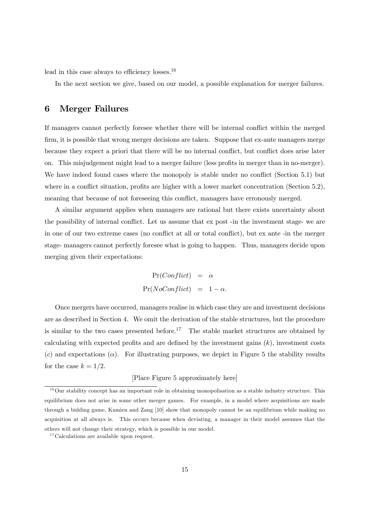lead in this case always to efficiency losses. $16$ 

In the next section we give, based on our model, a possible explanation for merger failures.

## 6 Merger Failures

If managers cannot perfectly foresee whether there will be internal conflict within the merged firm, it is possible that wrong merger decisions are taken. Suppose that ex-ante managers merge because they expect a priori that there will be no internal conflict, but conflict does arise later on. This misjudgement might lead to a merger failure (less profits in merger than in no-merger). We have indeed found cases where the monopoly is stable under no conflict (Section 5.1) but where in a conflict situation, profits are higher with a lower market concentration (Section 5.2), meaning that because of not foreseeing this conflict, managers have erronously merged.

A similar argument applies when managers are rational but there exists uncertainty about the possibility of internal conflict. Let us assume that ex post -in the investment stage- we are in one of our two extreme cases (no conflict at all or total conflict), but ex ante -in the merger stage- managers cannot perfectly foresee what is going to happen. Thus, managers decide upon merging given their expectations:

> $Pr(Conflict) = \alpha$  $Pr(NoConflict) = 1 - \alpha$ .

Once mergers have occurred, managers realise in which case they are and investment decisions are as described in Section 4. We omit the derivation of the stable structures, but the procedure is similar to the two cases presented before.<sup>17</sup> The stable market structures are obtained by calculating with expected profits and are defined by the investment gains  $(k)$ , investment costs (c) and expectations ( $\alpha$ ). For illustrating purposes, we depict in Figure 5 the stability results for the case  $k = 1/2$ .

### [Place Figure 5 approximately here]

 $16$ Our stability concept has an important role in obtaining monopolisation as a stable industry structure. This equilibrium does not arise in some other merger games. For example, in a model where acquisitions are made through a bidding game, Kamien and Zang [10] show that monopoly cannot be an equilibrium while making no acquisition at all always is. This occurs because when deviating, a manager in their model assumes that the others will not change their strategy, which is possible in our model.

 $17$  Calculations are available upon request.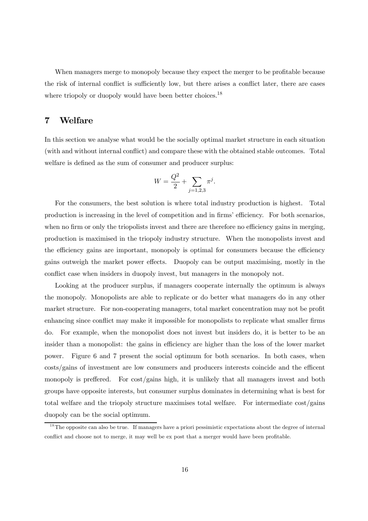When managers merge to monopoly because they expect the merger to be profitable because the risk of internal conflict is sufficiently low, but there arises a conflict later, there are cases where triopoly or duopoly would have been better choices.<sup>18</sup>

## 7 Welfare

In this section we analyse what would be the socially optimal market structure in each situation (with and without internal conflict) and compare these with the obtained stable outcomes. Total welfare is defined as the sum of consumer and producer surplus:

$$
W = \frac{Q^2}{2} + \sum_{j=1,2,3} \pi^j.
$$

For the consumers, the best solution is where total industry production is highest. Total production is increasing in the level of competition and in firms' efficiency. For both scenarios, when no firm or only the triopolists invest and there are therefore no efficiency gains in merging, production is maximised in the triopoly industry structure. When the monopolists invest and the efficiency gains are important, monopoly is optimal for consumers because the efficiency gains outweigh the market power effects. Duopoly can be output maximising, mostly in the conflict case when insiders in duopoly invest, but managers in the monopoly not.

Looking at the producer surplus, if managers cooperate internally the optimum is always the monopoly. Monopolists are able to replicate or do better what managers do in any other market structure. For non-cooperating managers, total market concentration may not be profit enhancing since conflict may make it impossible for monopolists to replicate what smaller firms do. For example, when the monopolist does not invest but insiders do, it is better to be an insider than a monopolist: the gains in efficiency are higher than the loss of the lower market power. Figure 6 and 7 present the social optimum for both scenarios. In both cases, when costs/gains of investment are low consumers and producers interests coincide and the efficent monopoly is preffered. For cost/gains high, it is unlikely that all managers invest and both groups have opposite interests, but consumer surplus dominates in determining what is best for total welfare and the triopoly structure maximises total welfare. For intermediate cost/gains duopoly can be the social optimum.

 $1<sup>8</sup>$ The opposite can also be true. If managers have a priori pessimistic expectations about the degree of internal conflict and choose not to merge, it may well be ex post that a merger would have been profitable.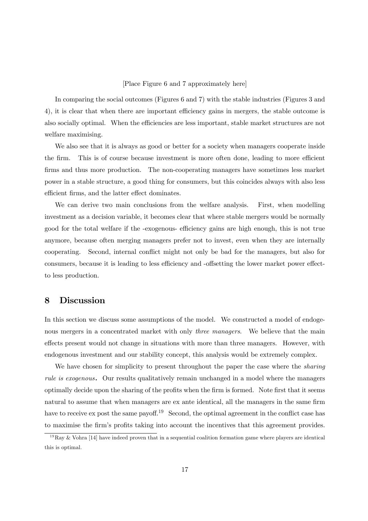#### [Place Figure 6 and 7 approximately here]

In comparing the social outcomes (Figures 6 and 7) with the stable industries (Figures 3 and 4), it is clear that when there are important efficiency gains in mergers, the stable outcome is also socially optimal. When the efficiencies are less important, stable market structures are not welfare maximising.

We also see that it is always as good or better for a society when managers cooperate inside the firm. This is of course because investment is more often done, leading to more efficient firms and thus more production. The non-cooperating managers have sometimes less market power in a stable structure, a good thing for consumers, but this coincides always with also less efficient firms, and the latter effect dominates.

We can derive two main conclusions from the welfare analysis. First, when modelling investment as a decision variable, it becomes clear that where stable mergers would be normally good for the total welfare if the -exogenous- efficiency gains are high enough, this is not true anymore, because often merging managers prefer not to invest, even when they are internally cooperating. Second, internal conflict might not only be bad for the managers, but also for consumers, because it is leading to less efficiency and -offsetting the lower market power effectto less production.

## 8 Discussion

In this section we discuss some assumptions of the model. We constructed a model of endogenous mergers in a concentrated market with only *three managers*. We believe that the main effects present would not change in situations with more than three managers. However, with endogenous investment and our stability concept, this analysis would be extremely complex.

We have chosen for simplicity to present throughout the paper the case where the *sharing* rule is exogenous. Our results qualitatively remain unchanged in a model where the managers optimally decide upon the sharing of the profits when the firm is formed. Note first that it seems natural to assume that when managers are ex ante identical, all the managers in the same firm have to receive ex post the same payoff.<sup>19</sup> Second, the optimal agreement in the conflict case has to maximise the firm's profits taking into account the incentives that this agreement provides.

<sup>&</sup>lt;sup>19</sup>Ray & Vohra [14] have indeed proven that in a sequential coalition formation game where players are identical this is optimal.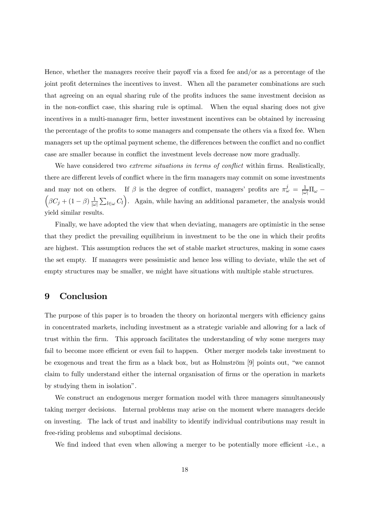Hence, whether the managers receive their payoff via a fixed fee and/or as a percentage of the joint profit determines the incentives to invest. When all the parameter combinations are such that agreeing on an equal sharing rule of the profits induces the same investment decision as in the non-conflict case, this sharing rule is optimal. When the equal sharing does not give incentives in a multi-manager firm, better investment incentives can be obtained by increasing the percentage of the profits to some managers and compensate the others via a fixed fee. When managers set up the optimal payment scheme, the differences between the conflict and no conflict case are smaller because in conflict the investment levels decrease now more gradually.

We have considered two *extreme situations in terms of conflict* within firms. Realistically, there are different levels of conflict where in the firm managers may commit on some investments and may not on others. If  $\beta$  is the degree of conflict, managers' profits are  $\pi_{\omega}^{j} = \frac{1}{|\omega|} \Pi_{\omega} -$ <br> $\left(\beta C + (1 - \beta)^{-1} \sum_{\alpha} C_{\alpha} \right)$ . Again, while having an additional parameter, the applying would  $\beta C_j + (1-\beta) \frac{1}{|\omega|}$  $\sum_{l\in\omega}C_l$ . Again, while having an additional parameter, the analysis would yield similar results.

Finally, we have adopted the view that when deviating, managers are optimistic in the sense that they predict the prevailing equilibrium in investment to be the one in which their profits are highest. This assumption reduces the set of stable market structures, making in some cases the set empty. If managers were pessimistic and hence less willing to deviate, while the set of empty structures may be smaller, we might have situations with multiple stable structures.

## 9 Conclusion

The purpose of this paper is to broaden the theory on horizontal mergers with efficiency gains in concentrated markets, including investment as a strategic variable and allowing for a lack of trust within the firm. This approach facilitates the understanding of why some mergers may fail to become more efficient or even fail to happen. Other merger models take investment to be exogenous and treat the firm as a black box, but as Holmström [9] points out, "we cannot claim to fully understand either the internal organisation of firms or the operation in markets by studying them in isolation".

We construct an endogenous merger formation model with three managers simultaneously taking merger decisions. Internal problems may arise on the moment where managers decide on investing. The lack of trust and inability to identify individual contributions may result in free-riding problems and suboptimal decisions.

We find indeed that even when allowing a merger to be potentially more efficient -i.e., a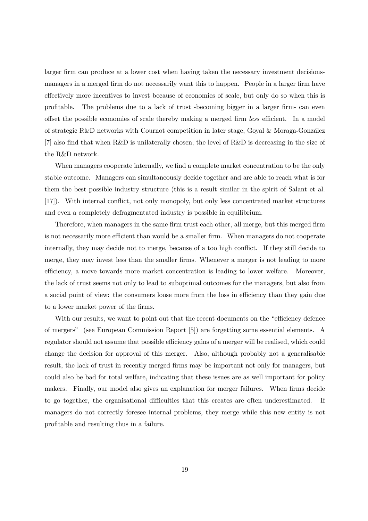larger firm can produce at a lower cost when having taken the necessary investment decisionsmanagers in a merged firm do not necessarily want this to happen. People in a larger firm have effectively more incentives to invest because of economies of scale, but only do so when this is profitable. The problems due to a lack of trust -becoming bigger in a larger firm- can even offset the possible economies of scale thereby making a merged firm less efficient. In a model of strategic R&D networks with Cournot competition in later stage, Goyal & Moraga-González [7] also find that when R&D is unilaterally chosen, the level of R&D is decreasing in the size of the R&D network.

When managers cooperate internally, we find a complete market concentration to be the only stable outcome. Managers can simultaneously decide together and are able to reach what is for them the best possible industry structure (this is a result similar in the spirit of Salant et al. [17]). With internal conflict, not only monopoly, but only less concentrated market structures and even a completely defragmentated industry is possible in equilibrium.

Therefore, when managers in the same firm trust each other, all merge, but this merged firm is not necessarily more efficient than would be a smaller firm. When managers do not cooperate internally, they may decide not to merge, because of a too high conflict. If they still decide to merge, they may invest less than the smaller firms. Whenever a merger is not leading to more efficiency, a move towards more market concentration is leading to lower welfare. Moreover, the lack of trust seems not only to lead to suboptimal outcomes for the managers, but also from a social point of view: the consumers loose more from the loss in efficiency than they gain due to a lower market power of the firms.

With our results, we want to point out that the recent documents on the "efficiency defence of mergers" (see European Commission Report [5]) are forgetting some essential elements. A regulator should not assume that possible efficiency gains of a merger will be realised, which could change the decision for approval of this merger. Also, although probably not a generalisable result, the lack of trust in recently merged firms may be important not only for managers, but could also be bad for total welfare, indicating that these issues are as well important for policy makers. Finally, our model also gives an explanation for merger failures. When firms decide to go together, the organisational difficulties that this creates are often underestimated. If managers do not correctly foresee internal problems, they merge while this new entity is not profitable and resulting thus in a failure.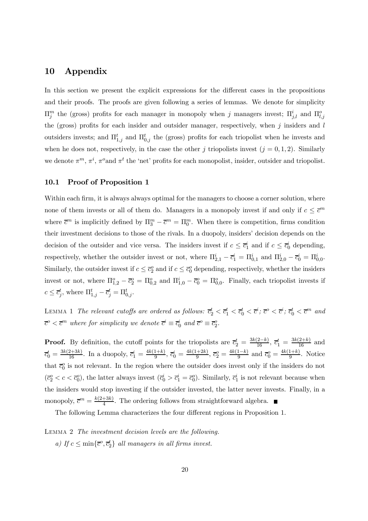## 10 Appendix

In this section we present the explicit expressions for the different cases in the propositions and their proofs. The proofs are given following a series of lemmas. We denote for simplicity  $\Pi_j^m$  the (gross) profits for each manager in monopoly when j managers invest;  $\Pi_{j,l}^i$  and  $\Pi_{l,j}^o$ the (gross) profits for each insider and outsider manager, respectively, when  $j$  insiders and l outsiders invests; and  $\Pi_{1,j}^t$  and  $\Pi_{0,j}^t$  the (gross) profits for each triopolist when he invests and when he does not, respectively, in the case the other j triopolists invest  $(j = 0, 1, 2)$ . Similarly we denote  $\pi^m$ ,  $\pi^i$ ,  $\pi^o$  and  $\pi^t$  the 'net' profits for each monopolist, insider, outsider and triopolist.

#### 10.1 Proof of Proposition 1

Within each firm, it is always always optimal for the managers to choose a corner solution, where none of them invests or all of them do. Managers in a monopoly invest if and only if  $c \leq \overline{c}^m$ where  $\bar{c}^m$  is implicitly defined by  $\Pi_3^m - \bar{c}^m = \Pi_0^m$ . When there is competition, firms condition their investment decisions to those of the rivals. In a duopoly, insiders' decision depends on the decision of the outsider and vice versa. The insiders invest if  $c \leq \bar{c}_1^i$  and if  $c \leq \bar{c}_0^i$  depending, respectively, whether the outsider invest or not, where  $\Pi_{2,1}^i - \overline{c}_1^i = \Pi_{0,1}^i$  and  $\Pi_{2,0}^i - \overline{c}_0^i = \Pi_{0,0}^i$ . Similarly, the outsider invest if  $c \leq \overline{c}_2^o$  and if  $c \leq \overline{c}_0^o$  depending, respectively, whether the insiders invest or not, where  $\Pi_{1,2}^o - \overline{c}_2^o = \Pi_{0,2}^o$  and  $\Pi_{1,0}^i - \overline{c}_0^o = \Pi_{0,0}^o$ . Finally, each triopolist invests if  $c \leq \overline{c}_j^t$ , where  $\Pi_{1,j}^t - \overline{c}_j^t = \Pi_{0,j}^t$ .

LEMMA 1 The relevant cutoffs are ordered as follows:  $\overline{c}_2^t < \overline{c}_1^t < \overline{c}_0^t < \overline{c}^i$ ;  $\overline{c}^o < \overline{c}^i$ ;  $\overline{c}_0^t < \overline{c}^m$  and  $\overline{c}^o < \overline{c}^m$  where for simplicity we denote  $\overline{c}^i \equiv \overline{c}_0^i$  and  $\overline{c}^o \equiv \overline{c}_2^o$ .

**Proof.** By definition, the cutoff points for the triopolists are  $\overline{c}_2^t = \frac{3k(2-k)}{16}$ ,  $\overline{c}_1^t = \frac{3k(2+k)}{16}$  and  $\overline{c}_0^t = \frac{3k(2+3k)}{16}$ . In a duopoly,  $\overline{c}_1^i = \frac{4k(1+k)}{9}$ ,  $\overline{c}_0^i = \frac{4k(1+2k)}{9}$ ,  $\overline{c}_2^o = \frac{4k(1-k)}{9}$  and  $\overline{c}_0^o = \frac{4k(1+k)}{9}$ . Notice that  $\bar{c}_0^o$  is not relevant. In the region where the outsider does invest only if the insiders do not  $(\bar{c}_2^o < c < \bar{c}_0^o)$ , the latter always invest  $(\bar{c}_0^i > \bar{c}_1^i = \bar{c}_0^o)$ . Similarly,  $\bar{c}_1^i$  is not relevant because when the insiders would stop investing if the outsider invested, the latter never invests. Finally, in a monopoly,  $\overline{c}^m = \frac{k(2+3k)}{4}$ . The ordering follows from straightforward algebra.

The following Lemma characterizes the four different regions in Proposition 1.

Lemma 2 The investment decision levels are the following. a) If  $c \le \min\{\overline{c}^o, \overline{c}_2^t\}$  all managers in all firms invest.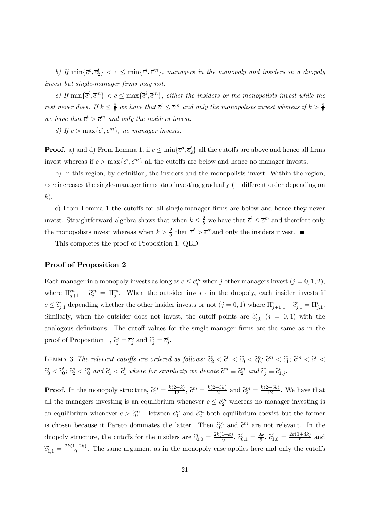b) If  $\min\{\overline{c}^o, \overline{c}_2^t\} < c \leq \min\{\overline{c}^i, \overline{c}^m\}$ , managers in the monopoly and insiders in a duopoly invest but single-manager firms may not.

c) If  $\min\{\bar{c}^i,\bar{c}^m\} < c \leq \max\{\bar{c}^i,\bar{c}^m\}$ , either the insiders or the monopolists invest while the rest never does. If  $k \leq \frac{2}{5}$  we have that  $\overline{c}^i \leq \overline{c}^m$  and only the monopolists invest whereas if  $k > \frac{2}{5}$ we have that  $\bar{c}^i > \bar{c}^m$  and only the insiders invest.

d) If  $c > \max{\{\overline{c}^i, \overline{c}^m\}}$ , no manager invests.

**Proof.** a) and d) From Lemma 1, if  $c \le \min\{\overline{c}^o, \overline{c}_2^t\}$  all the cutoffs are above and hence all firms invest whereas if  $c > \max{\{\overline{c}^i, \overline{c}^m\}}$  all the cutoffs are below and hence no manager invests.

b) In this region, by definition, the insiders and the monopolists invest. Within the region, as c increases the single-manager firms stop investing gradually (in different order depending on  $k$ ).

c) From Lemma 1 the cutoffs for all single-manager firms are below and hence they never invest. Straightforward algebra shows that when  $k \leq \frac{2}{5}$  we have that  $\overline{c}^i \leq \overline{c}^m$  and therefore only the monopolists invest whereas when  $k > \frac{2}{5}$  then  $\overline{c}^i > \overline{c}^m$  and only the insiders invest.

This completes the proof of Proposition 1. QED.

### Proof of Proposition 2

Each manager in a monopoly invests as long as  $c \leq \tilde{c}_j^m$  when j other managers invest  $(j = 0, 1, 2)$ , where  $\Pi_{j+1}^m - \tilde{c}_j^m = \Pi_j^m$ . When the outsider invests in the duopoly, each insider invests if  $c \leq \tilde{c}^i_{j,1}$  depending whether the other insider invests or not  $(j = 0, 1)$  where  $\Pi^i_{j+1,1} - \tilde{c}^i_{j,1} = \Pi^i_{j,1}$ . Similarly, when the outsider does not invest, the cutoff points are  $\tilde{c}_{j,0}^i$  ( $j = 0,1$ ) with the analogous definitions. The cutoff values for the single-manager firms are the same as in the proof of Proposition 1,  $\tilde{c}_j^o = \overline{c}_j^o$  and  $\tilde{c}_j^t = \overline{c}_j^t$ .

LEMMA 3 The relevant cutoffs are ordered as follows:  $\tilde{c}_2^t < \tilde{c}_1^t < \tilde{c}_0^t < \tilde{c}_0^o$ ;  $\tilde{c}^m < \tilde{c}_1^t$ ;  $\tilde{c}^m < \tilde{c}_1^t <$  $\tilde{c}_0^i < \tilde{c}_0^t$ ;  $\tilde{c}_2^o < \tilde{c}_0^o$  and  $\tilde{c}_1^i < \tilde{c}_1^t$  where for simplicity we denote  $\tilde{c}^m \equiv \tilde{c}_2^m$  and  $\tilde{c}_j^i \equiv \tilde{c}_{1,j}^i$ .

**Proof.** In the monopoly structure,  $\tilde{c}_0^m = \frac{k(2+k)}{12}$ ,  $\tilde{c}_1^m = \frac{k(2+3k)}{12}$  and  $\tilde{c}_2^m = \frac{k(2+5k)}{12}$ . We have that all the managers investing is an equilibrium whenever  $c \leq \tilde{c}_2^m$  whereas no manager investing is an equilibrium whenever  $c > \tilde{c}_0^m$ . Between  $\tilde{c}_0^m$  and  $\tilde{c}_2^m$  both equilibrium coexist but the former is chosen because it Pareto dominates the latter. Then  $\tilde{c}_0^m$  and  $\tilde{c}_1^m$  are not relevant. In the duopoly structure, the cutoffs for the insiders are  $\tilde{c}_{0,0}^i = \frac{2k(1+k)}{9}$ ,  $\tilde{c}_{0,1}^i = \frac{2k}{9}$ ,  $\tilde{c}_{1,0}^i = \frac{2k(1+3k)}{9}$  and  $\tilde{c}_{1,1}^i = \frac{2k(1+2k)}{9}$ . The same argument as in the monopoly case applies here and only the cutoffs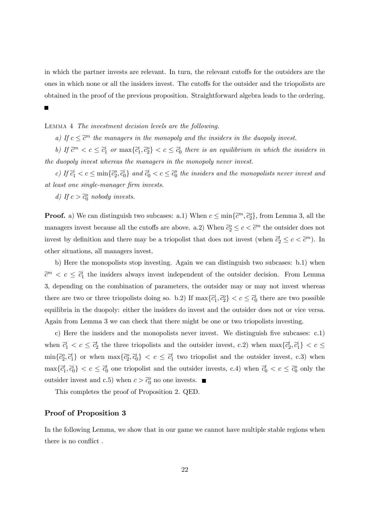in which the partner invests are relevant. In turn, the relevant cutoffs for the outsiders are the ones in which none or all the insiders invest. The cutoffs for the outsider and the triopolists are obtained in the proof of the previous proposition. Straightforward algebra leads to the ordering.

### Lemma 4 The investment decision levels are the following.

a) If  $c \leq \tilde{c}^m$  the managers in the monopoly and the insiders in the duopoly invest.

b) If  $\tilde{c}^m < c \leq \tilde{c}_1^i$  or  $\max{\{\tilde{c}_1^i, \tilde{c}_2^o\}} < c \leq \tilde{c}_0^i$  there is an equilibrium in which the insiders in the duopoly invest whereas the managers in the monopoly never invest.

c) If  $\tilde{c}_1^i < c \leq \min\{\tilde{c}_2^o, \tilde{c}_0^i\}$  and  $\tilde{c}_0^i < c \leq \tilde{c}_0^o$  the insiders and the monopolists never invest and at least one single-manager firm invests.

d) If  $c > \tilde{c}_0^o$  nobody invests.

**Proof.** a) We can distinguish two subcases: a.1) When  $c \le \min{\{\tilde{c}^m, \tilde{c}_2^o\}}$ , from Lemma 3, all the managers invest because all the cutoffs are above. a.2) When  $\tilde{c}_2^o \leq c < \tilde{c}^m$  the outsider does not invest by definition and there may be a triopolist that does not invest (when  $\tilde{c}_2^t \leq c < \tilde{c}^m$ ). In other situations, all managers invest.

b) Here the monopolists stop investing. Again we can distinguish two subcases: b.1) when  $\tilde{c}^m < c \leq \tilde{c}_1^i$  the insiders always invest independent of the outsider decision. From Lemma 3, depending on the combination of parameters, the outsider may or may not invest whereas there are two or three triopolists doing so. b.2) If  $\max\{\tilde{c}_1^i, \tilde{c}_2^o\} < c \leq \tilde{c}_0^i$  there are two possible equilibria in the duopoly: either the insiders do invest and the outsider does not or vice versa. Again from Lemma 3 we can check that there might be one or two triopolists investing.

c) Here the insiders and the monopolists never invest. We distinguish five subcases: c.1) when  $\tilde{c}_1^i < c \leq \tilde{c}_2^t$  the three triopolists and the outsider invest, c.2) when  $\max\{\tilde{c}_2^t, \tilde{c}_1^i\} < c \leq$  $\min\{\tilde{c}_2^o,\tilde{c}_1^t\}$  or when  $\max\{\tilde{c}_2^o,\tilde{c}_0^i\} < c \leq \tilde{c}_1^t$  two triopolist and the outsider invest, c.3) when  $\max\{\tilde{c}_1^t, \tilde{c}_0^i\} < c \leq \tilde{c}_0^t$  one triopolist and the outsider invests, c.4) when  $\tilde{c}_0^t < c \leq \tilde{c}_0^o$  only the outsider invest and c.5) when  $c > \tilde{c}_0^o$  no one invests.

This completes the proof of Proposition 2. QED.

### Proof of Proposition 3

In the following Lemma, we show that in our game we cannot have multiple stable regions when there is no conflict .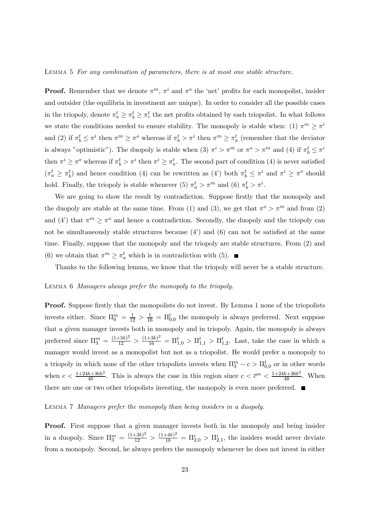#### Lemma 5 For any combination of parameters, there is at most one stable structure.

**Proof.** Remember that we denote  $\pi^m$ ,  $\pi^i$  and  $\pi^o$  the 'net' profits for each monopolist, insider and outsider (the equilibria in investment are unique). In order to consider all the possible cases in the triopoly, denote  $\pi_a^t \geq \pi_b^t \geq \pi_c^t$  the net profits obtained by each triopolist. In what follows we state the conditions needed to ensure stability. The monopoly is stable when: (1)  $\pi^m \geq \pi^i$ and (2) if  $\pi_b^t \leq \pi^i$  then  $\pi^m \geq \pi^o$  whereas if  $\pi_b^t > \pi^i$  then  $\pi^m \geq \pi_a^t$  (remember that the deviator is always "optimistic"). The duopoly is stable when (3)  $\pi^i > \pi^m$  or  $\pi^o > \pi^m$  and (4) if  $\pi_b^t \leq \pi^i$ then  $\pi^i \geq \pi^o$  whereas if  $\pi^t_b > \pi^i$  then  $\pi^i \geq \pi^t_a$ . The second part of condition (4) is never satisfied  $(\pi_a^t \geq \pi_b^t)$  and hence condition (4) can be rewritten as (4') both  $\pi_b^t \leq \pi^i$  and  $\pi^i \geq \pi^o$  should hold. Finally, the triopoly is stable whenever (5)  $\pi_a^t > \pi^m$  and (6)  $\pi_b^t > \pi^i$ .

We are going to show the result by contradiction. Suppose firstly that the monopoly and the duopoly are stable at the same time. From (1) and (3), we get that  $\pi^o > \pi^m$  and from (2) and (4') that  $\pi^m \geq \pi^o$  and hence a contradiction. Secondly, the duopoly and the triopoly can not be simultaneously stable structures because  $(4')$  and  $(6)$  can not be satisfied at the same time. Finally, suppose that the monopoly and the triopoly are stable structures. From (2) and (6) we obtain that  $\pi^m \ge \pi_a^t$  which is in contradiction with (5).

Thanks to the following lemma, we know that the triopoly will never be a stable structure.

#### Lemma 6 Managers always prefer the monopoly to the triopoly.

Proof. Suppose firstly that the monopolists do not invest. By Lemma 1 none of the triopolists invests either. Since  $\Pi_0^m = \frac{1}{12} > \frac{1}{16} = \Pi_{0,0}^t$  the monopoly is always preferred. Next suppose that a given manager invests both in monopoly and in triopoly. Again, the monopoly is always preferred since  $\Pi_3^m = \frac{(1+3k)^2}{12} > \frac{(1+3k)^2}{16} = \Pi_{1,0}^t > \Pi_{1,1}^t > \Pi_{1,2}^t$ . Last, take the case in which a manager would invest as a monopolist but not as a triopolist. He would prefer a monopoly to a triopoly in which none of the other triopolists invests when  $\Pi_3^m - c > \Pi_{0,0}^t$  or in other words when  $c < \frac{1+24k+36k^2}{48}$ . This is always the case in this region since  $c < \overline{c}^m < \frac{1+24k+36k^2}{48}$ . When there are one or two other triopolists investing, the monopoly is even more preferred.  $\blacksquare$ 

#### Lemma 7 Managers prefer the monopoly than being insiders in a duopoly.

Proof. First suppose that a given manager invests both in the monopoly and being insider in a duopoly. Since  $\Pi_3^m = \frac{(1+3k)^2}{12} > \frac{(1+4k)^2}{18} = \Pi_{2,0}^i > \Pi_{2,1}^i$ , the insiders would never deviate from a monopoly. Second, he always prefers the monopoly whenever he does not invest in either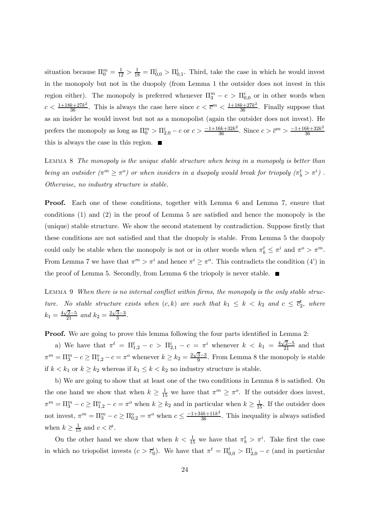situation because  $\Pi_0^m = \frac{1}{12} > \frac{1}{18} = \Pi_{0,0}^i > \Pi_{0,1}^i$ . Third, take the case in which he would invest in the monopoly but not in the duopoly (from Lemma 1 the outsider does not invest in this region either). The monopoly is preferred whenever  $\Pi_3^m - c > \Pi_{0,0}^i$  or in other words when  $c < \frac{1+18k+27k^2}{36}$ . This is always the case here since  $c < \bar{c}^m < \frac{1+18k+27k^2}{36}$ . Finally suppose that as an insider he would invest but not as a monopolist (again the outsider does not invest). He prefers the monopoly as long as  $\Pi_0^m > \Pi_{2,0}^i - c$  or  $c > \frac{-1+16k+32k^2}{36}$ . Since  $c > \overline{c}^m > \frac{-1+16k+32k^2}{36}$ this is always the case in this region.  $\blacksquare$ 

LEMMA 8 The monopoly is the unique stable structure when being in a monopoly is better than being an outsider  $(\pi^m \geq \pi^o)$  or when insiders in a duopoly would break for triopoly  $(\pi_b^t > \pi^i)$ . Otherwise, no industry structure is stable.

Proof. Each one of these conditions, together with Lemma 6 and Lemma 7, ensure that conditions (1) and (2) in the proof of Lemma 5 are satisfied and hence the monopoly is the (unique) stable structure. We show the second statement by contradiction. Suppose firstly that these conditions are not satisfied and that the duopoly is stable. From Lemma 5 the duopoly could only be stable when the monopoly is not or in other words when  $\pi_b^t \leq \pi^i$  and  $\pi^o > \pi^m$ . From Lemma 7 we have that  $\pi^m > \pi^i$  and hence  $\pi^i \geq \pi^o$ . This contradicts the condition (4') in the proof of Lemma 5. Secondly, from Lemma 6 the triopoly is never stable.  $\blacksquare$ 

LEMMA 9 When there is no internal conflict within firms, the monopoly is the only stable structure. No stable structure exists when  $(c, k)$  are such that  $k_1 \leq k \leq k_2$  and  $c \leq \overline{c}_2^t$ , where  $k_1 = \frac{4\sqrt{2}-5}{21}$  and  $k_2 = \frac{2\sqrt{3}-3}{3}$ .

Proof. We are going to prove this lemma following the four parts identified in Lemma 2:

a) We have that  $\pi^t = \Pi_{1,2}^t - c > \Pi_{2,1}^i - c = \pi^i$  whenever  $k < k_1 = \frac{4\sqrt{2}-5}{21}$  and that  $\pi^m = \Pi_3^m - c \ge \Pi_{1,2}^o - c = \pi^o$  whenever  $k \ge k_2 = \frac{2\sqrt{3}-3}{9}$ . From Lemma 8 the monopoly is stable if  $k < k_1$  or  $k \geq k_2$  whereas if  $k_1 \leq k < k_2$  no industry structure is stable.

b) We are going to show that at least one of the two conditions in Lemma 8 is satisfied. On the one hand we show that when  $k \geq \frac{1}{15}$  we have that  $\pi^m \geq \pi^o$ . If the outsider does invest,  $\pi^m = \Pi_3^m - c \ge \Pi_{1,2}^o - c = \pi^o$  when  $k \ge k_2$  and in particular when  $k \ge \frac{1}{15}$ . If the outsider does not invest,  $\pi^m = \Pi_3^m - c \ge \Pi_{0,2}^o = \pi^o$  when  $c \le \frac{-1+34k+11k^2}{36}$ . This inequality is always satisfied when  $k \geq \frac{1}{15}$  and  $c < \overline{c}^i$ .

On the other hand we show that when  $k < \frac{1}{15}$  we have that  $\pi_b^t > \pi^i$ . Take first the case in which no triopolist invests  $(c > \bar{c}_0^t)$ . We have that  $\pi^t = \Pi_{0,0}^t > \Pi_{2,0}^i - c$  (and in particular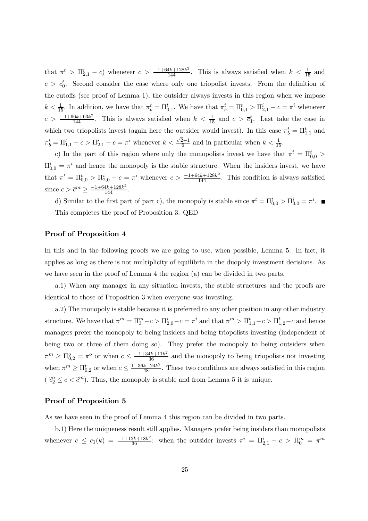that  $\pi^t > \Pi_{2,1}^i - c$  whenever  $c > \frac{-1+64k+128k^2}{144}$ . This is always satisfied when  $k < \frac{1}{15}$  and  $c > \bar{c}_0^t$ . Second consider the case where only one triopolist invests. From the definition of the cutoffs (see proof of Lemma 1), the outsider always invests in this region when we impose  $k < \frac{1}{15}$ . In addition, we have that  $\pi_b^t = \Pi_{0,1}^t$ . We have that  $\pi_b^t = \Pi_{0,1}^t > \Pi_{2,1}^i - c = \pi^i$  whenever  $c > \frac{-1+66k+63k^2}{144}$ . This is always satisfied when  $k < \frac{1}{15}$  and  $c > \overline{c}_1^t$ . Last take the case in which two triopolists invest (again here the outsider would invest). In this case  $\pi_b^t = \Pi_{1,1}^t$  and  $\pi_b^t = \Pi_{1,1}^t - c > \Pi_{2,1}^i - c = \pi^i$  whenever  $k < \frac{\sqrt{2}-1}{6}$  and in particular when  $k < \frac{1}{15}$ .

c) In the part of this region where only the monopolists invest we have that  $\pi^t = \Pi_{0,0}^t$  $\Pi_{0,0}^i = \pi^i$  and hence the monopoly is the stable structure. When the insiders invest, we have that  $\pi^t = \Pi_{0,0}^t > \Pi_{2,0}^i - c = \pi^i$  whenever  $c > \frac{-1+64k+128k^2}{144}$ . This condition is always satisfied since  $c > \overline{c}^m \ge \frac{-1 + 64k + 128k^2}{144}$ .

d) Similar to the first part of part c), the monopoly is stable since  $\pi^t = \Pi_{0,0}^t > \Pi_{0,0}^i = \pi^i$ . This completes the proof of Proposition 3. QED

### Proof of Proposition 4

In this and in the following proofs we are going to use, when possible, Lemma 5. In fact, it applies as long as there is not multiplicity of equilibria in the duopoly investment decisions. As we have seen in the proof of Lemma 4 the region (a) can be divided in two parts.

a.1) When any manager in any situation invests, the stable structures and the proofs are identical to those of Proposition 3 when everyone was investing.

a.2) The monopoly is stable because it is preferred to any other position in any other industry structure. We have that  $\pi^m = \Pi_3^m - c > \Pi_{2,0}^i - c = \pi^i$  and that  $\pi^m > \Pi_{1,1}^t - c > \Pi_{1,2}^t - c$  and hence managers prefer the monopoly to being insiders and being triopolists investing (independent of being two or three of them doing so). They prefer the monopoly to being outsiders when  $\pi^m \geq \Pi_{0,2}^o = \pi^o$  or when  $c \leq \frac{-1+34k+11k^2}{36}$  and the monopoly to being triopolists not investing when  $\pi^m \geq \Pi_{0,2}^t$  or when  $c \leq \frac{1+36k+24k^2}{48}$ . These two conditions are always satisfied in this region  $(\tilde{c}_2^o \leq c < \tilde{c}^m)$ . Thus, the monopoly is stable and from Lemma 5 it is unique.

#### Proof of Proposition 5

As we have seen in the proof of Lemma 4 this region can be divided in two parts.

b.1) Here the uniqueness result still applies. Managers prefer being insiders than monopolists whenever  $c \leq c_1(k) = \frac{-1+12k+18k^2}{36}$ : when the outsider invests  $\pi^i = \Pi_{2,1}^i - c > \Pi_0^m = \pi^m$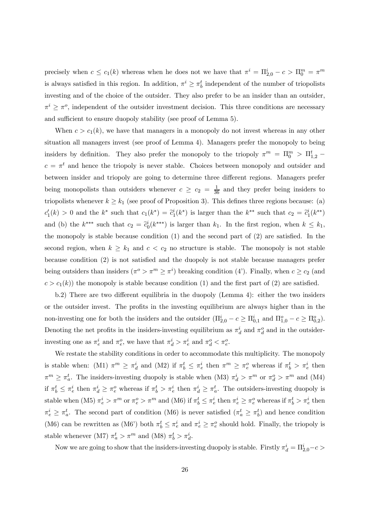precisely when  $c \leq c_1(k)$  whereas when he does not we have that  $\pi^i = \Pi_{2,0}^i - c > \Pi_0^m = \pi^m$ is always satisfied in this region. In addition,  $\pi^i \geq \pi_b^t$  independent of the number of triopolists investing and of the choice of the outsider. They also prefer to be an insider than an outsider,  $\pi^i \geq \pi^o$ , independent of the outsider investment decision. This three conditions are necessary and sufficient to ensure duopoly stability (see proof of Lemma 5).

When  $c>c_1(k)$ , we have that managers in a monopoly do not invest whereas in any other situation all managers invest (see proof of Lemma 4). Managers prefer the monopoly to being insiders by definition. They also prefer the monopoly to the triopoly  $\pi^m = \Pi_0^m > \Pi_{1,2}^t$  $c = \pi^t$  and hence the triopoly is never stable. Choices between monopoly and outsider and between insider and triopoly are going to determine three different regions. Managers prefer being monopolists than outsiders whenever  $c \geq c_2 = \frac{1}{36}$  and they prefer being insiders to triopolists whenever  $k \geq k_1$  (see proof of Proposition 3). This defines three regions because: (a)  $c_1'(k) > 0$  and the  $k^*$  such that  $c_1(k^*) = \tilde{c}_1^i(k^*)$  is larger than the  $k^{**}$  such that  $c_2 = \tilde{c}_1^i(k^{**})$ and (b) the  $k^{***}$  such that  $c_2 = \tilde{c}_0^i(k^{***})$  is larger than  $k_1$ . In the first region, when  $k \leq k_1$ , the monopoly is stable because condition (1) and the second part of (2) are satisfied. In the second region, when  $k \geq k_1$  and  $c < c_2$  no structure is stable. The monopoly is not stable because condition (2) is not satisfied and the duopoly is not stable because managers prefer being outsiders than insiders  $(\pi^o > \pi^m \geq \pi^i)$  breaking condition (4'). Finally, when  $c \geq c_2$  (and  $c>c_1(k)$  the monopoly is stable because condition (1) and the first part of (2) are satisfied.

b.2) There are two different equilibria in the duopoly (Lemma 4): either the two insiders or the outsider invest. The profits in the investing equilibrium are always higher than in the non-investing one for both the insiders and the outsider  $(\Pi_{2,0}^i - c \ge \Pi_{0,1}^i$  and  $\Pi_{1,0}^o - c \ge \Pi_{0,2}^o$ ). Denoting the net profits in the insiders-investing equilibrium as  $\pi_d^i$  and  $\pi_d^o$  and in the outsiderinvesting one as  $\pi_e^i$  and  $\pi_e^o$ , we have that  $\pi_d^i > \pi_e^i$  and  $\pi_d^o < \pi_e^o$ .

We restate the stability conditions in order to accommodate this multiplicity. The monopoly is stable when: (M1)  $\pi^m \geq \pi_d^i$  and (M2) if  $\pi_b^t \leq \pi_e^i$  then  $\pi^m \geq \pi_e^o$  whereas if  $\pi_b^t > \pi_e^i$  then  $\pi^m \geq \pi_a^t$ . The insiders-investing duopoly is stable when (M3)  $\pi_d^i > \pi^m$  or  $\pi_d^o > \pi^m$  and (M4) if  $\pi_b^t \leq \pi_e^i$  then  $\pi_d^i \geq \pi_e^o$  whereas if  $\pi_b^t > \pi_e^i$  then  $\pi_d^i \geq \pi_a^t$ . The outsiders-investing duopoly is stable when (M5)  $\pi_e^i > \pi^m$  or  $\pi_e^o > \pi^m$  and (M6) if  $\pi_b^t \leq \pi_e^i$  then  $\pi_e^i \geq \pi_e^o$  whereas if  $\pi_b^t > \pi_e^i$  then  $\pi_e^i \geq \pi_a^t$ . The second part of condition (M6) is never satisfied  $(\pi_a^t \geq \pi_b^t)$  and hence condition (M6) can be rewritten as (M6<sup>'</sup>) both  $\pi_b^t \leq \pi_e^i$  and  $\pi_e^i \geq \pi_e^o$  should hold. Finally, the triopoly is stable whenever (M7)  $\pi_a^t > \pi^m$  and (M8)  $\pi_b^t > \pi_d^i$ .

Now we are going to show that the insiders-investing duopoly is stable. Firstly  $\pi_d^i = \Pi_{2,0}^i - c >$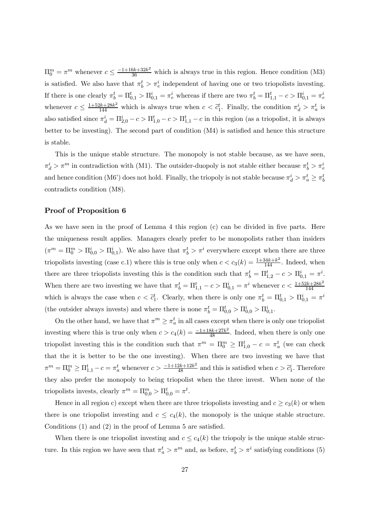$\Pi_0^m = \pi^m$  whenever  $c \leq \frac{-1+16k+32k^2}{36}$  which is always true in this region. Hence condition (M3) is satisfied. We also have that  $\pi_b^t > \pi_e^i$  independent of having one or two triopolists investing. If there is one clearly  $\pi_b^t = \Pi_{0,1}^t > \Pi_{0,1}^i = \pi_e^i$  whereas if there are two  $\pi_b^t = \Pi_{1,1}^t - c > \Pi_{0,1}^i = \pi_e^i$ whenever  $c \leq \frac{1+52k+28k^2}{144}$  which is always true when  $c < \tilde{c}_1^t$ . Finally, the condition  $\pi_d^i > \pi_a^t$  is also satisfied since  $\pi_d^i = \Pi_{2,0}^i - c > \Pi_{1,0}^t - c > \Pi_{1,1}^t - c$  in this region (as a triopolist, it is always better to be investing). The second part of condition (M4) is satisfied and hence this structure is stable.

This is the unique stable structure. The monopoly is not stable because, as we have seen,  $\pi_d^i > \pi^m$  in contradiction with (M1). The outsider-duopoly is not stable either because  $\pi_b^t > \pi_e^i$ and hence condition (M6') does not hold. Finally, the triopoly is not stable because  $\pi_d^i > \pi_a^t \ge \pi_b^t$ contradicts condition (M8).

## Proof of Proposition 6

As we have seen in the proof of Lemma 4 this region (c) can be divided in five parts. Here the uniqueness result applies. Managers clearly prefer to be monopolists rather than insiders  $(\pi^m = \Pi_0^m > \Pi_{0,0}^i > \Pi_{0,1}^i)$ . We also have that  $\pi_b^t > \pi^i$  everywhere except when there are three triopolists investing (case c.1) where this is true only when  $c < c_3(k) = \frac{1+34k+k^2}{144}$ . Indeed, when there are three triopolists investing this is the condition such that  $\pi_b^t = \Pi_{1,2}^t - c > \Pi_{0,1}^i = \pi^i$ . When there are two investing we have that  $\pi_b^t = \Pi_{1,1}^t - c > \Pi_{0,1}^i = \pi^i$  whenever  $c < \frac{1+52k+28k^2}{144}$ which is always the case when  $c < \tilde{c}_1^t$ . Clearly, when there is only one  $\pi_b^t = \Pi_{0,1}^t > \Pi_{0,1}^i = \pi^i$ (the outsider always invests) and where there is none  $\pi_b^t = \Pi_{0,0}^t > \Pi_{0,0}^i > \Pi_{0,1}^i$ .

On the other hand, we have that  $\pi^m \geq \pi_a^t$  in all cases except when there is only one triopolist investing where this is true only when  $c > c_4(k) = \frac{-1+18k+27k^2}{48}$ . Indeed, when there is only one triopolist investing this is the condition such that  $\pi^m = \Pi_0^m \ge \Pi_{1,0}^t - c = \pi_a^t$  (we can check that the it is better to be the one investing). When there are two investing we have that  $\pi^m = \Pi_0^m \ge \Pi_{1,1}^t - c = \pi_a^t$  whenever  $c > \frac{-1+12k+12k^2}{48}$  and this is satisfied when  $c > \tilde{c}_1^i$ . Therefore they also prefer the monopoly to being triopolist when the three invest. When none of the triopolists invests, clearly  $\pi^m = \Pi_{0,0}^m > \Pi_{0,0}^t = \pi^t$ .

Hence in all region c) except when there are three triopolists investing and  $c \ge c_3(k)$  or when there is one triopolist investing and  $c \leq c_4(k)$ , the monopoly is the unique stable structure. Conditions (1) and (2) in the proof of Lemma 5 are satisfied.

When there is one triopolist investing and  $c \leq c_4(k)$  the triopoly is the unique stable structure. In this region we have seen that  $\pi_a^t > \pi^m$  and, as before,  $\pi_b^t > \pi^i$  satisfying conditions (5)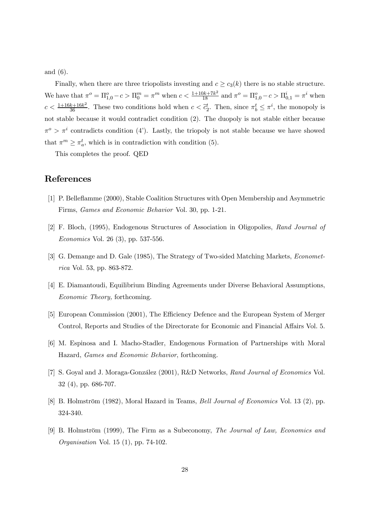and (6).

Finally, when there are three triopolists investing and  $c \ge c_3(k)$  there is no stable structure. We have that  $\pi^o = \Pi_{1,0}^o - c > \Pi_0^m = \pi^m$  when  $c < \frac{1+10k+7k^2}{18}$  and  $\pi^o = \Pi_{1,0}^o - c > \Pi_{0,1}^i = \pi^i$  when  $c < \frac{1+16k+16k^2}{36}$ . These two conditions hold when  $c < \tilde{c}_2^t$ . Then, since  $\pi_b^t \leq \pi^i$ , the monopoly is not stable because it would contradict condition (2). The duopoly is not stable either because  $\pi^o > \pi^i$  contradicts condition (4'). Lastly, the triopoly is not stable because we have showed that  $\pi^m \geq \pi_a^t$ , which is in contradiction with condition (5).

This completes the proof. QED

## References

- [1] P. Belleflamme (2000), Stable Coalition Structures with Open Membership and Asymmetric Firms, Games and Economic Behavior Vol. 30, pp. 1-21.
- [2] F. Bloch, (1995), Endogenous Structures of Association in Oligopolies, Rand Journal of Economics Vol. 26 (3), pp. 537-556.
- [3] G. Demange and D. Gale (1985), The Strategy of Two-sided Matching Markets, Econometrica Vol. 53, pp. 863-872.
- [4] E. Diamantoudi, Equilibrium Binding Agreements under Diverse Behavioral Assumptions, Economic Theory, forthcoming.
- [5] European Commission (2001), The Efficiency Defence and the European System of Merger Control, Reports and Studies of the Directorate for Economic and Financial Affairs Vol. 5.
- [6] M. Espinosa and I. Macho-Stadler, Endogenous Formation of Partnerships with Moral Hazard, Games and Economic Behavior, forthcoming.
- [7] S. Goyal and J. Moraga-González (2001), R&D Networks, Rand Journal of Economics Vol. 32 (4), pp. 686-707.
- [8] B. Holmström (1982), Moral Hazard in Teams, Bell Journal of Economics Vol. 13 (2), pp. 324-340.
- [9] B. Holmström (1999), The Firm as a Subeconomy, The Journal of Law, Economics and Organisation Vol. 15 (1), pp. 74-102.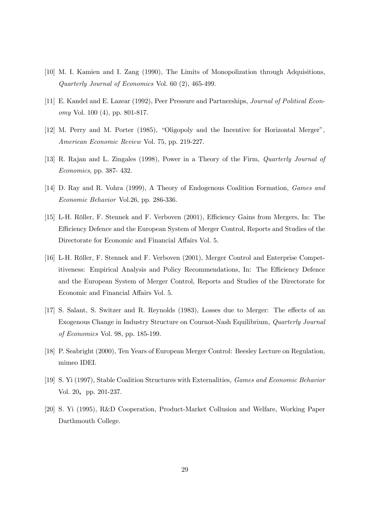- [10] M. I. Kamien and I. Zang (1990), The Limits of Monopolization through Adquisitions, Quarterly Journal of Economics Vol. 60 (2), 465-499.
- [11] E. Kandel and E. Lazear (1992), Peer Pressure and Partnerships, Journal of Political Economy Vol. 100 (4), pp. 801-817.
- [12] M. Perry and M. Porter (1985), "Oligopoly and the Incentive for Horizontal Merger", American Economic Review Vol. 75, pp. 219-227.
- [13] R. Rajan and L. Zingales (1998), Power in a Theory of the Firm, Quarterly Journal of Economics, pp. 387- 432.
- [14] D. Ray and R. Vohra (1999), A Theory of Endogenous Coalition Formation, Games and Economic Behavior Vol.26, pp. 286-336.
- [15] L-H. Röller, F. Stennek and F. Verboven (2001), Efficiency Gains from Mergers, In: The Efficiency Defence and the European System of Merger Control, Reports and Studies of the Directorate for Economic and Financial Affairs Vol. 5.
- [16] L-H. Röller, F. Stennek and F. Verboven (2001), Merger Control and Enterprise Competitiveness: Empirical Analysis and Policy Recommendations, In: The Efficiency Defence and the European System of Merger Control, Reports and Studies of the Directorate for Economic and Financial Affairs Vol. 5.
- [17] S. Salant, S. Switzer and R. Reynolds (1983), Losses due to Merger: The effects of an Exogenous Change in Industry Structure on Cournot-Nash Equilibrium, Quarterly Journal of Economics Vol. 98, pp. 185-199.
- [18] P. Seabright (2000), Ten Years of European Merger Control: Beesley Lecture on Regulation, mimeo IDEI.
- [19] S. Yi (1997), Stable Coalition Structures with Externalities, Games and Economic Behavior Vol. 20, pp. 201-237.
- [20] S. Yi (1995), R&D Cooperation, Product-Market Collusion and Welfare, Working Paper Darthmouth College.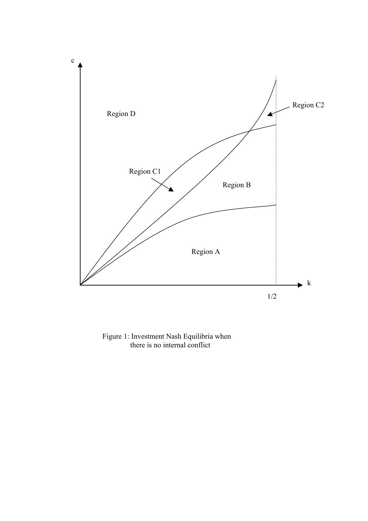

Figure 1: Investment Nash Equilibria when there is no internal conflict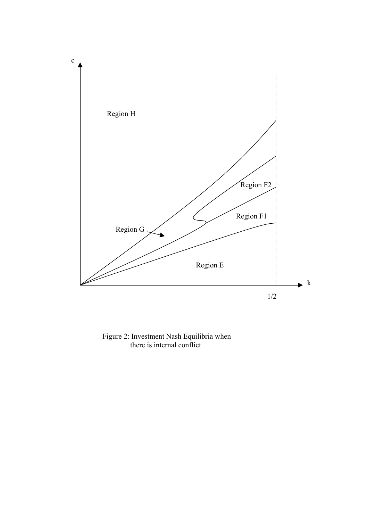

Figure 2: Investment Nash Equilibria when there is internal conflict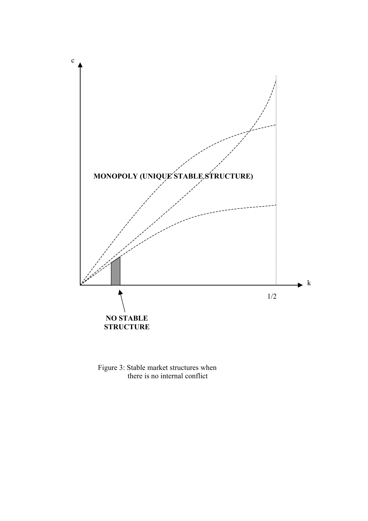

Figure 3: Stable market structures when there is no internal conflict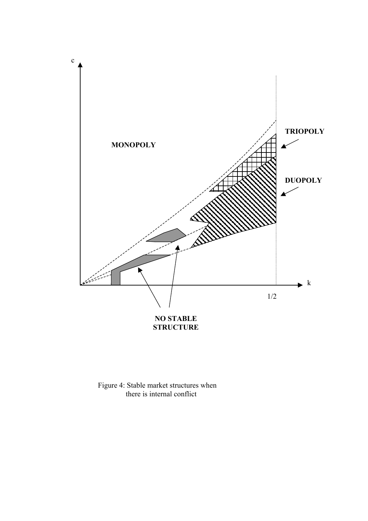

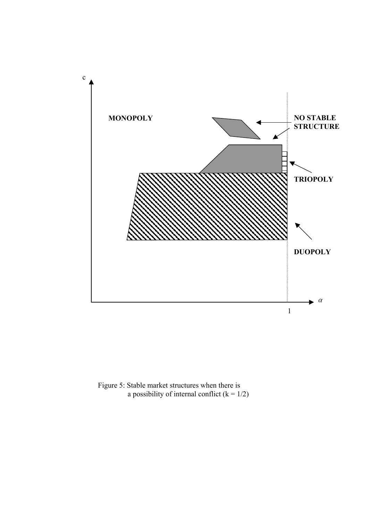

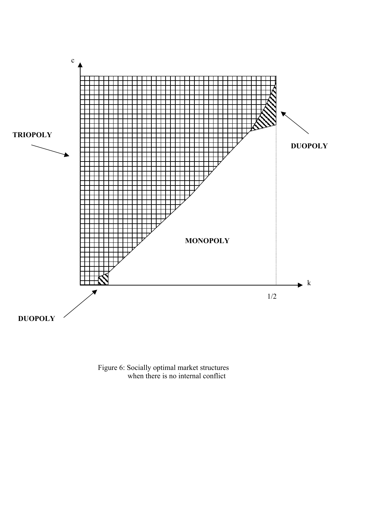

Figure 6: Socially optimal market structures when there is no internal conflict